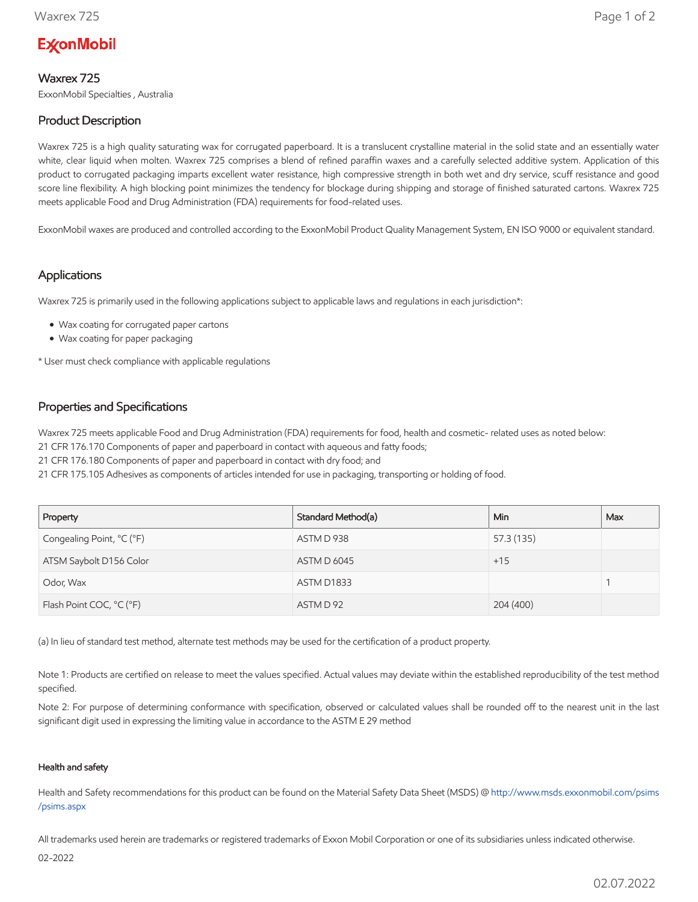# **ExconMobil**

## Waxrex 725

ExxonMobil Specialties , Australia

# Product Description

Waxrex 725 is a high quality saturating wax for corrugated paperboard. It is a translucent crystalline material in the solid state and an essentially water white, clear liquid when molten. Waxrex 725 comprises a blend of refined paraffin waxes and a carefully selected additive system. Application of this product to corrugated packaging imparts excellent water resistance, high compressive strength in both wet and dry service, scuff resistance and good score line flexibility. A high blocking point minimizes the tendency for blockage during shipping and storage of finished saturated cartons. Waxrex 725 meets applicable Food and Drug Administration (FDA) requirements for food-related uses.

ExxonMobil waxes are produced and controlled according to the ExxonMobil Product Quality Management System, EN ISO 9000 or equivalent standard.

## Applications

Waxrex 725 is primarily used in the following applications subject to applicable laws and regulations in each jurisdiction\*:

- Wax coating for corrugated paper cartons
- Wax coating for paper packaging

\* User must check compliance with applicable regulations

## Properties and Specifications

Waxrex 725 meets applicable Food and Drug Administration (FDA) requirements for food, health and cosmetic- related uses as noted below:

21 CFR 176.170 Components of paper and paperboard in contact with aqueous and fatty foods;

21 CFR 176.180 Components of paper and paperboard in contact with dry food; and

21 CFR 175.105 Adhesives as components of articles intended for use in packaging, transporting or holding of food.

| Property                  | Standard Method(a) | Min.       | Max |
|---------------------------|--------------------|------------|-----|
| Congealing Point, °C (°F) | ASTM D 938         | 57.3 (135) |     |
| ATSM Saybolt D156 Color   | <b>ASTM D 6045</b> | $+15$      |     |
| Odor, Wax                 | ASTM D1833         |            |     |
| Flash Point COC, °C (°F)  | ASTM D 92          | 204 (400)  |     |

(a) In lieu of standard test method, alternate test methods may be used for the certification of a product property.

Note 1: Products are certified on release to meet the values specified. Actual values may deviate within the established reproducibility of the test method specified.

Note 2: For purpose of determining conformance with specification, observed or calculated values shall be rounded off to the nearest unit in the last significant digit used in expressing the limiting value in accordance to the ASTM E 29 method

#### Health and safety

Health and Safety recommendations for this product can be found on the Material Safety Data Sheet (MSDS) @ [http://www.msds.exxonmobil.com/psims](http://www.msds.exxonmobil.com/psims/psims.aspx) /psims.aspx

All trademarks used herein are trademarks or registered trademarks of Exxon Mobil Corporation or one of its subsidiaries unless indicated otherwise.